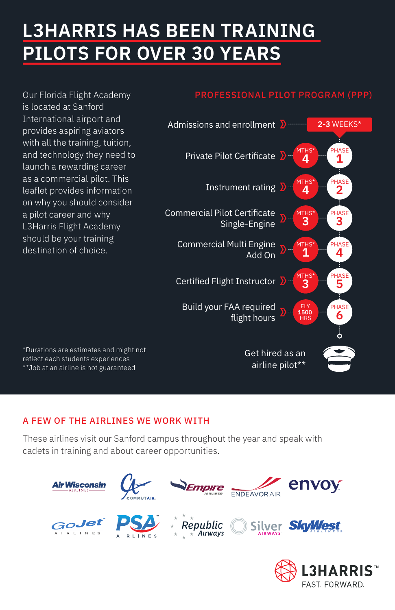# **L3HARRIS HAS BEEN TRAINING PILOTS FOR OVER 30 YEARS**

Our Florida Flight Academy is located at Sanford International airport and provides aspiring aviators with all the training, tuition, and technology they need to launch a rewarding career as a commercial pilot. This leaflet provides information on why you should consider a pilot career and why L3Harris Flight Academy should be your training

#### PROFESSIONAL PILOT PROGRAM (PPP)



\*Durations are estimates and might not reflect each students experiences \*\*Job at an airline is not guaranteed

#### A FEW OF THE AIRLINES WE WORK WITH

These airlines visit our Sanford campus throughout the year and speak with cadets in training and about career opportunities.